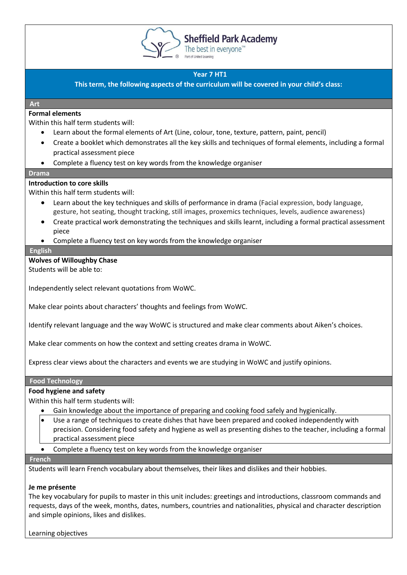

**Sheffield Park Academy** 

The best in everyone<sup>™</sup>

# **Year 7 HT1**

**This term, the following aspects of the curriculum will be covered in your child's class:**

#### **Art**

# **Formal elements**

Within this half term students will:

- Learn about the formal elements of Art (Line, colour, tone, texture, pattern, paint, pencil)
- Create a booklet which demonstrates all the key skills and techniques of formal elements, including a formal practical assessment piece
- Complete a fluency test on key words from the knowledge organiser

#### **Drama**

## **Introduction to core skills**

Within this half term students will:

- Learn about the key techniques and skills of performance in drama (Facial expression, body language, gesture, hot seating, thought tracking, still images, proxemics techniques, levels, audience awareness)
- Create practical work demonstrating the techniques and skills learnt, including a formal practical assessment piece
- Complete a fluency test on key words from the knowledge organiser

#### **English**

**Wolves of Willoughby Chase**

Students will be able to:

Independently select relevant quotations from WoWC.

Make clear points about characters' thoughts and feelings from WoWC.

Identify relevant language and the way WoWC is structured and make clear comments about Aiken's choices.

Make clear comments on how the context and setting creates drama in WoWC.

Express clear views about the characters and events we are studying in WoWC and justify opinions.

#### **Food Technology**

## **Food hygiene and safety**

Within this half term students will:

- Gain knowledge about the importance of preparing and cooking food safely and hygienically.
- Use a range of techniques to create dishes that have been prepared and cooked independently with precision. Considering food safety and hygiene as well as presenting dishes to the teacher, including a formal practical assessment piece
- Complete a fluency test on key words from the knowledge organiser

#### **French**

Students will learn French vocabulary about themselves, their likes and dislikes and their hobbies.

## **Je me présente**

The key vocabulary for pupils to master in this unit includes: greetings and introductions, classroom commands and requests, days of the week, months, dates, numbers, countries and nationalities, physical and character description and simple opinions, likes and dislikes.

Learning objectives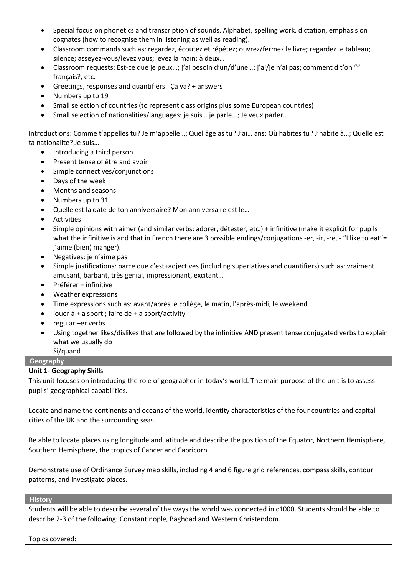- Special focus on phonetics and transcription of sounds. Alphabet, spelling work, dictation, emphasis on cognates (how to recognise them in listening as well as reading).
- Classroom commands such as: regardez, écoutez et répétez; ouvrez/fermez le livre; regardez le tableau; silence; asseyez-vous/levez vous; levez la main; à deux…
- Classroom requests: Est-ce que je peux…; j'ai besoin d'un/d'une…; j'ai/je n'ai pas; comment dit'on "" français?, etc.
- Greetings, responses and quantifiers: Ça va? + answers
- Numbers up to 19
- Small selection of countries (to represent class origins plus some European countries)
- Small selection of nationalities/languages: je suis… je parle…; Je veux parler…

Introductions: Comme t'appelles tu? Je m'appelle…; Quel âge as tu? J'ai… ans; Où habites tu? J'habite à…; Quelle est ta nationalité? Je suis…

- Introducing a third person
- Present tense of être and avoir
- Simple connectives/conjunctions
- Days of the week
- Months and seasons
- Numbers up to 31
- Quelle est la date de ton anniversaire? Mon anniversaire est le…
- Activities
- Simple opinions with aimer (and similar verbs: adorer, détester, etc.) + infinitive (make it explicit for pupils what the infinitive is and that in French there are 3 possible endings/conjugations -er, -ir, -re, - "I like to eat"= j'aime (bien) manger).
- Negatives: je n'aime pas
- Simple justifications: parce que c'est+adjectives (including superlatives and quantifiers) such as: vraiment amusant, barbant, très genial, impressionant, excitant…
- Préférer + infinitive
- Weather expressions
- Time expressions such as: avant/après le collège, le matin, l'après-midi, le weekend
- jouer  $\dot{a}$  + a sport ; faire de + a sport/activity
- regular –er verbs
- Using together likes/dislikes that are followed by the infinitive AND present tense conjugated verbs to explain what we usually do
	- Si/quand

# **Geography**

# **Unit 1- Geography Skills**

This unit focuses on introducing the role of geographer in today's world. The main purpose of the unit is to assess pupils' geographical capabilities.

Locate and name the continents and oceans of the world, identity characteristics of the four countries and capital cities of the UK and the surrounding seas.

Be able to locate places using longitude and latitude and describe the position of the Equator, Northern Hemisphere, Southern Hemisphere, the tropics of Cancer and Capricorn.

Demonstrate use of Ordinance Survey map skills, including 4 and 6 figure grid references, compass skills, contour patterns, and investigate places.

#### **History**

Students will be able to describe several of the ways the world was connected in c1000. Students should be able to describe 2-3 of the following: Constantinople, Baghdad and Western Christendom.

Topics covered: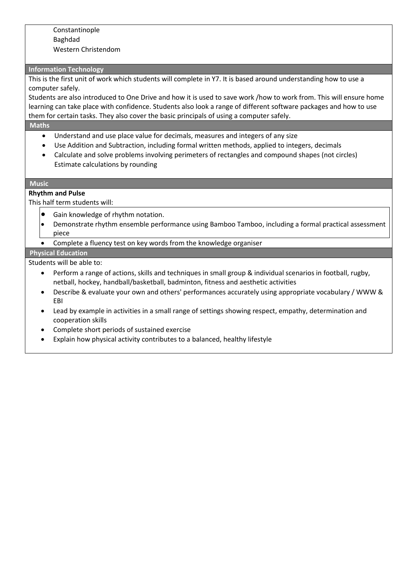## Constantinople Baghdad Western Christendom

#### **Information Technology**

This is the first unit of work which students will complete in Y7. It is based around understanding how to use a computer safely.

Students are also introduced to One Drive and how it is used to save work /how to work from. This will ensure home learning can take place with confidence. Students also look a range of different software packages and how to use them for certain tasks. They also cover the basic principals of using a computer safely.

#### **Maths**

- Understand and use place value for decimals, measures and integers of any size
- Use Addition and Subtraction, including formal written methods, applied to integers, decimals
- Calculate and solve problems involving perimeters of rectangles and compound shapes (not circles) Estimate calculations by rounding

#### **Music**

## **Rhythm and Pulse**

This half term students will:

- Gain knowledge of rhythm notation.
- Demonstrate rhythm ensemble performance using Bamboo Tamboo, including a formal practical assessment piece
- Complete a fluency test on key words from the knowledge organiser

## **Physical Education**

Students will be able to:

- Perform a range of actions, skills and techniques in small group & individual scenarios in football, rugby, netball, hockey, handball/basketball, badminton, fitness and aesthetic activities
- Describe & evaluate your own and others' performances accurately using appropriate vocabulary / WWW & EBI
- Lead by example in activities in a small range of settings showing respect, empathy, determination and cooperation skills
- Complete short periods of sustained exercise
- Explain how physical activity contributes to a balanced, healthy lifestyle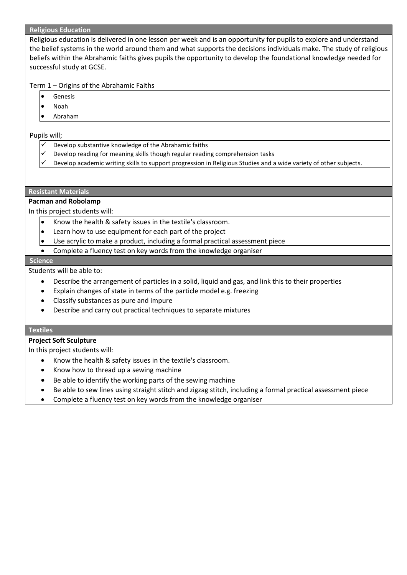#### **Religious Education**

Religious education is delivered in one lesson per week and is an opportunity for pupils to explore and understand the belief systems in the world around them and what supports the decisions individuals make. The study of religious beliefs within the Abrahamic faiths gives pupils the opportunity to develop the foundational knowledge needed for successful study at GCSE.

Term 1 – Origins of the Abrahamic Faiths

- **Genesis**
- Noah
- Abraham

Pupils will;

- Develop substantive knowledge of the Abrahamic faiths
- Develop reading for meaning skills though regular reading comprehension tasks
- Develop academic writing skills to support progression in Religious Studies and a wide variety of other subjects.

## **Resistant Materials**

## **Pacman and Robolamp**

In this project students will:

- Know the health & safety issues in the textile's classroom.
- Learn how to use equipment for each part of the project
- Use acrylic to make a product, including a formal practical assessment piece
- Complete a fluency test on key words from the knowledge organiser

#### **Science**

Students will be able to:

- Describe the arrangement of particles in a solid, liquid and gas, and link this to their properties
- Explain changes of state in terms of the particle model e.g. freezing
- Classify substances as pure and impure
- Describe and carry out practical techniques to separate mixtures

## **Textiles**

## **Project Soft Sculpture**

- Know the health & safety issues in the textile's classroom.
- Know how to thread up a sewing machine
- Be able to identify the working parts of the sewing machine
- Be able to sew lines using straight stitch and zigzag stitch, including a formal practical assessment piece
- Complete a fluency test on key words from the knowledge organiser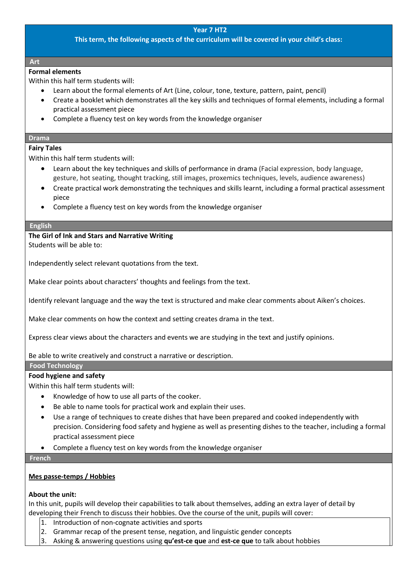## **Year 7 HT2**

**This term, the following aspects of the curriculum will be covered in your child's class:**

## **Art**

# **Formal elements**

Within this half term students will:

- Learn about the formal elements of Art (Line, colour, tone, texture, pattern, paint, pencil)
- Create a booklet which demonstrates all the key skills and techniques of formal elements, including a formal practical assessment piece
- Complete a fluency test on key words from the knowledge organiser

#### **Drama**

## **Fairy Tales**

Within this half term students will:

- Learn about the key techniques and skills of performance in drama (Facial expression, body language, gesture, hot seating, thought tracking, still images, proxemics techniques, levels, audience awareness)
- Create practical work demonstrating the techniques and skills learnt, including a formal practical assessment piece
- Complete a fluency test on key words from the knowledge organiser

#### **English**

**The Girl of Ink and Stars and Narrative Writing**  Students will be able to:

Independently select relevant quotations from the text.

Make clear points about characters' thoughts and feelings from the text.

Identify relevant language and the way the text is structured and make clear comments about Aiken's choices.

Make clear comments on how the context and setting creates drama in the text.

Express clear views about the characters and events we are studying in the text and justify opinions.

Be able to write creatively and construct a narrative or description.

## **Food Technology**

## **Food hygiene and safety**

Within this half term students will:

- Knowledge of how to use all parts of the cooker.
- Be able to name tools for practical work and explain their uses.
- Use a range of techniques to create dishes that have been prepared and cooked independently with precision. Considering food safety and hygiene as well as presenting dishes to the teacher, including a formal practical assessment piece
- Complete a fluency test on key words from the knowledge organiser

#### **French**

## **Mes passe-temps / Hobbies**

## **About the unit:**

In this unit, pupils will develop their capabilities to talk about themselves, adding an extra layer of detail by developing their French to discuss their hobbies. Ove the course of the unit, pupils will cover:

- 1. Introduction of non-cognate activities and sports
- 2. Grammar recap of the present tense, negation, and linguistic gender concepts
- 3. Asking & answering questions using **qu'est-ce que** and **est-ce que** to talk about hobbies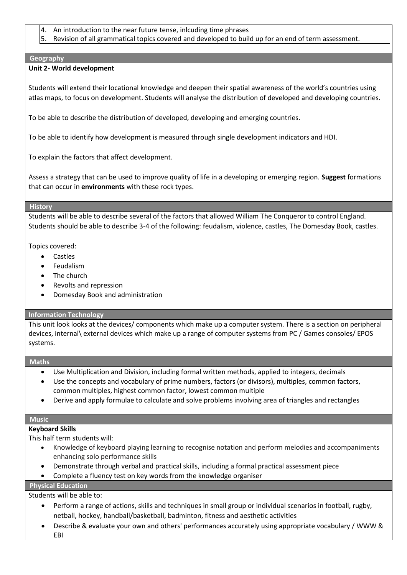- 4. An introduction to the near future tense, inlcuding time phrases
- 5. Revision of all grammatical topics covered and developed to build up for an end of term assessment.

## **Geography**

## **Unit 2- World development**

Students will extend their locational knowledge and deepen their spatial awareness of the world's countries using atlas maps, to focus on development. Students will analyse the distribution of developed and developing countries.

To be able to describe the distribution of developed, developing and emerging countries.

To be able to identify how development is measured through single development indicators and HDI.

To explain the factors that affect development.

Assess a strategy that can be used to improve quality of life in a developing or emerging region. **Suggest** formations that can occur in **environments** with these rock types.

#### **History**

Students will be able to describe several of the factors that allowed William The Conqueror to control England. Students should be able to describe 3-4 of the following: feudalism, violence, castles, The Domesday Book, castles.

Topics covered:

- Castles
- Feudalism
- The church
- Revolts and repression
- Domesday Book and administration

## **Information Technology**

This unit look looks at the devices/ components which make up a computer system. There is a section on peripheral devices, internal\ external devices which make up a range of computer systems from PC / Games consoles/ EPOS systems.

## **Maths**

- Use Multiplication and Division, including formal written methods, applied to integers, decimals
- Use the concepts and vocabulary of prime numbers, factors (or divisors), multiples, common factors, common multiples, highest common factor, lowest common multiple
- Derive and apply formulae to calculate and solve problems involving area of triangles and rectangles

## **Music**

# **Keyboard Skills**

This half term students will:

- Knowledge of keyboard playing learning to recognise notation and perform melodies and accompaniments enhancing solo performance skills
- Demonstrate through verbal and practical skills, including a formal practical assessment piece
- Complete a fluency test on key words from the knowledge organiser

# **Physical Education**

Students will be able to:

- Perform a range of actions, skills and techniques in small group or individual scenarios in football, rugby, netball, hockey, handball/basketball, badminton, fitness and aesthetic activities
- Describe & evaluate your own and others' performances accurately using appropriate vocabulary / WWW & EBI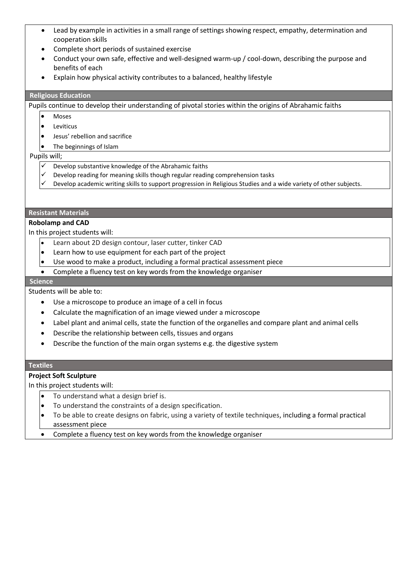- Lead by example in activities in a small range of settings showing respect, empathy, determination and cooperation skills
- Complete short periods of sustained exercise
- Conduct your own safe, effective and well-designed warm-up / cool-down, describing the purpose and benefits of each
- Explain how physical activity contributes to a balanced, healthy lifestyle

## **Religious Education**

Pupils continue to develop their understanding of pivotal stories within the origins of Abrahamic faiths

- Moses
- Leviticus
- Jesus' rebellion and sacrifice
- The beginnings of Islam

#### Pupils will;

- $\checkmark$  Develop substantive knowledge of the Abrahamic faiths
- Develop reading for meaning skills though regular reading comprehension tasks
- Develop academic writing skills to support progression in Religious Studies and a wide variety of other subjects.

## **Resistant Materials**

## **Robolamp and CAD**

In this project students will:

- Learn about 2D design contour, laser cutter, tinker CAD
- Learn how to use equipment for each part of the project
- Use wood to make a product, including a formal practical assessment piece
- Complete a fluency test on key words from the knowledge organiser

## **Science**

Students will be able to:

- Use a microscope to produce an image of a cell in focus
- Calculate the magnification of an image viewed under a microscope
- Label plant and animal cells, state the function of the organelles and compare plant and animal cells
- Describe the relationship between cells, tissues and organs
- Describe the function of the main organ systems e.g. the digestive system

## **Textiles**

# **Project Soft Sculpture**

- To understand what a design brief is.
- To understand the constraints of a design specification.
- To be able to create designs on fabric, using a variety of textile techniques, including a formal practical assessment piece
- Complete a fluency test on key words from the knowledge organiser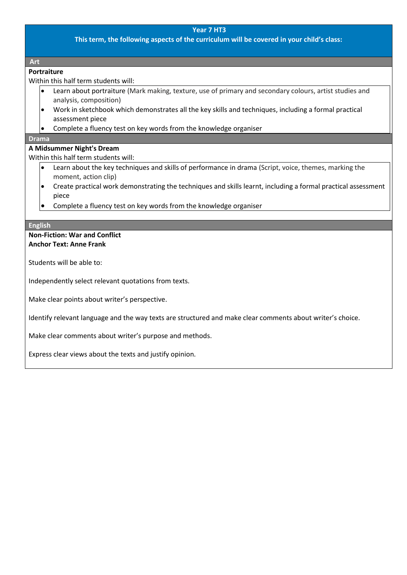## **Year 7 HT3**

**This term, the following aspects of the curriculum will be covered in your child's class:**

**Art**

## **Portraiture**

Within this half term students will:

- Learn about portraiture (Mark making, texture, use of primary and secondary colours, artist studies and analysis, composition)
- Work in sketchbook which demonstrates all the key skills and techniques, including a formal practical assessment piece
- Complete a fluency test on key words from the knowledge organiser

#### **Drama**

## **A Midsummer Night's Dream**

Within this half term students will:

- Learn about the key techniques and skills of performance in drama (Script, voice, themes, marking the moment, action clip)
- Create practical work demonstrating the techniques and skills learnt, including a formal practical assessment piece
- Complete a fluency test on key words from the knowledge organiser

#### **English**

## **Non-Fiction: War and Conflict Anchor Text: Anne Frank**

Students will be able to:

Independently select relevant quotations from texts.

Make clear points about writer's perspective.

Identify relevant language and the way texts are structured and make clear comments about writer's choice.

Make clear comments about writer's purpose and methods.

Express clear views about the texts and justify opinion.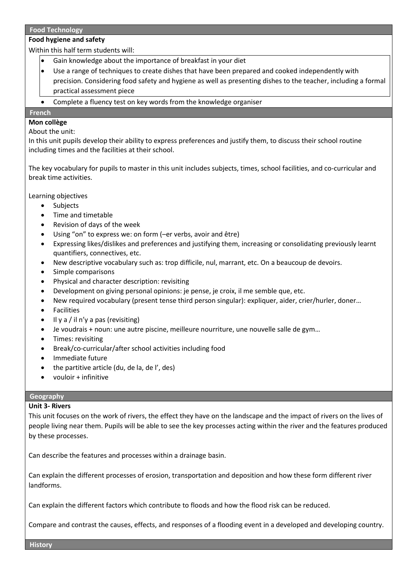#### **Food Technology**

## **Food hygiene and safety**

Within this half term students will:

- Gain knowledge about the importance of breakfast in your diet
- Use a range of techniques to create dishes that have been prepared and cooked independently with precision. Considering food safety and hygiene as well as presenting dishes to the teacher, including a formal practical assessment piece
- Complete a fluency test on key words from the knowledge organiser

## **French**

## **Mon collège**

About the unit:

In this unit pupils develop their ability to express preferences and justify them, to discuss their school routine including times and the facilities at their school.

The key vocabulary for pupils to master in this unit includes subjects, times, school facilities, and co-curricular and break time activities.

Learning objectives

- Subjects
- Time and timetable
- Revision of days of the week
- Using "on" to express we: on form (–er verbs, avoir and être)
- Expressing likes/dislikes and preferences and justifying them, increasing or consolidating previously learnt quantifiers, connectives, etc.
- New descriptive vocabulary such as: trop difficile, nul, marrant, etc. On a beaucoup de devoirs.
- Simple comparisons
- Physical and character description: revisiting
- Development on giving personal opinions: je pense, je croix, il me semble que, etc.
- New required vocabulary (present tense third person singular): expliquer, aider, crier/hurler, doner…
- **Facilities**
- $\bullet$  Il y a / il n'y a pas (revisiting)
- Je voudrais + noun: une autre piscine, meilleure nourriture, une nouvelle salle de gym…
- Times: revisiting
- Break/co-curricular/after school activities including food
- Immediate future
- the partitive article (du, de la, de l', des)
- vouloir + infinitive

## **Geography**

## **Unit 3- Rivers**

This unit focuses on the work of rivers, the effect they have on the landscape and the impact of rivers on the lives of people living near them. Pupils will be able to see the key processes acting within the river and the features produced by these processes.

Can describe the features and processes within a drainage basin.

Can explain the different processes of erosion, transportation and deposition and how these form different river landforms.

Can explain the different factors which contribute to floods and how the flood risk can be reduced.

Compare and contrast the causes, effects, and responses of a flooding event in a developed and developing country.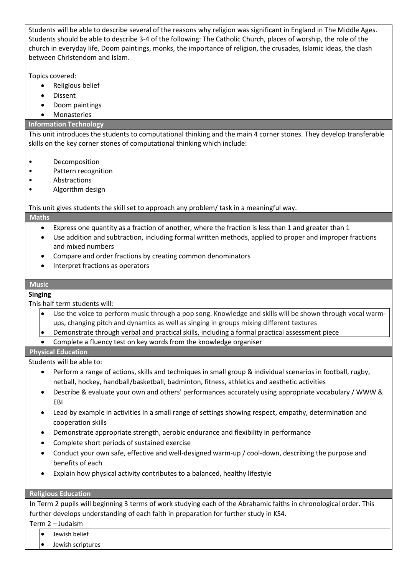Students will be able to describe several of the reasons why religion was significant in England in The Middle Ages. Students should be able to describe 3-4 of the following: The Catholic Church, places of worship, the role of the church in everyday life, Doom paintings, monks, the importance of religion, the crusades, Islamic ideas, the clash between Christendom and Islam.

Topics covered:

- Religious belief
- Dissent
- Doom paintings
- Monasteries

# **Information Technology**

This unit introduces the students to computational thinking and the main 4 corner stones. They develop transferable skills on the key corner stones of computational thinking which include:

- Decomposition
- Pattern recognition
- **Abstractions**
- Algorithm design

This unit gives students the skill set to approach any problem/ task in a meaningful way.

## **Maths**

- Express one quantity as a fraction of another, where the fraction is less than 1 and greater than 1
- Use addition and subtraction, including formal written methods, applied to proper and improper fractions and mixed numbers
- Compare and order fractions by creating common denominators
- Interpret fractions as operators

#### **Music**

## **Singing**

This half term students will:

- Use the voice to perform music through a pop song. Knowledge and skills will be shown through vocal warmups, changing pitch and dynamics as well as singing in groups mixing different textures
- Demonstrate through verbal and practical skills, including a formal practical assessment piece
- Complete a fluency test on key words from the knowledge organiser

## **Physical Education**

Students will be able to:

- Perform a range of actions, skills and techniques in small group & individual scenarios in football, rugby, netball, hockey, handball/basketball, badminton, fitness, athletics and aesthetic activities
- Describe & evaluate your own and others' performances accurately using appropriate vocabulary / WWW & EBI
- Lead by example in activities in a small range of settings showing respect, empathy, determination and cooperation skills
- Demonstrate appropriate strength, aerobic endurance and flexibility in performance
- Complete short periods of sustained exercise
- Conduct your own safe, effective and well-designed warm-up / cool-down, describing the purpose and benefits of each
- Explain how physical activity contributes to a balanced, healthy lifestyle

## **Religious Education**

In Term 2 pupils will beginning 3 terms of work studying each of the Abrahamic faiths in chronological order. This further develops understanding of each faith in preparation for further study in KS4.

Term 2 – Judaism

- Jewish belief
- Jewish scriptures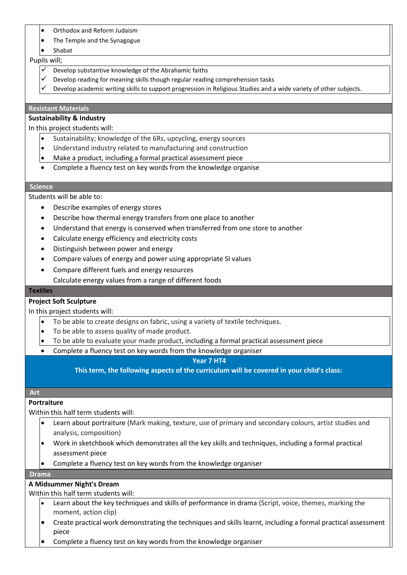- Orthodox and Reform Judaism
- The Temple and the Synagogue
- Shabat

#### Pupils will;

- $\checkmark$  Develop substantive knowledge of the Abrahamic faiths
- Develop reading for meaning skills though regular reading comprehension tasks
- Develop academic writing skills to support progression in Religious Studies and a wide variety of other subjects.

## **Resistant Materials**

## **Sustainability & Industry**

In this project students will:

- Sustainability; knowledge of the 6Rs, upcycling, energy sources
- Understand industry related to manufacturing and construction
- $\bullet$  Make a product, including a formal practical assessment piece
- Complete a fluency test on key words from the knowledge organise

## **Science**

Students will be able to:

- Describe examples of energy stores
- Describe how thermal energy transfers from one place to another
- Understand that energy is conserved when transferred from one store to another
- Calculate energy efficiency and electricity costs
- Distinguish between power and energy
- Compare values of energy and power using appropriate SI values
- Compare different fuels and energy resources • Calculate energy values from a range of different foods

#### **Textiles**

## **Project Soft Sculpture**

In this project students will:

- To be able to create designs on fabric, using a variety of textile techniques.
- To be able to assess quality of made product.
- To be able to evaluate your made product, including a formal practical assessment piece
- Complete a fluency test on key words from the knowledge organiser

## **Year 7 HT4**

**This term, the following aspects of the curriculum will be covered in your child's class:**

## **Art**

## **Portraiture**

Within this half term students will:

- Learn about portraiture (Mark making, texture, use of primary and secondary colours, artist studies and analysis, composition)
- Work in sketchbook which demonstrates all the key skills and techniques, including a formal practical assessment piece
- Complete a fluency test on key words from the knowledge organiser

## **Drama**

# **A Midsummer Night's Dream**

Within this half term students will:

- Learn about the key techniques and skills of performance in drama (Script, voice, themes, marking the moment, action clip)
- Create practical work demonstrating the techniques and skills learnt, including a formal practical assessment piece
- Complete a fluency test on key words from the knowledge organiser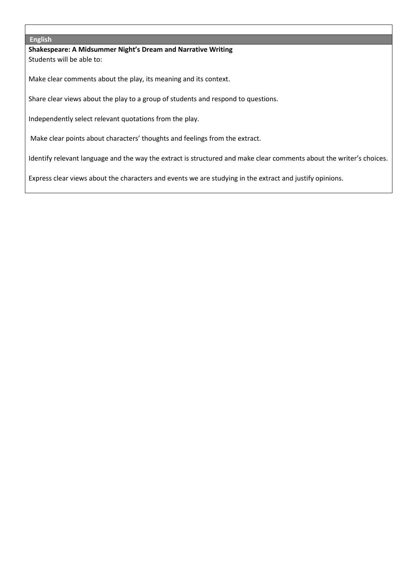#### **English**

**Shakespeare: A Midsummer Night's Dream and Narrative Writing** Students will be able to:

Make clear comments about the play, its meaning and its context.

Share clear views about the play to a group of students and respond to questions.

Independently select relevant quotations from the play.

Make clear points about characters' thoughts and feelings from the extract.

Identify relevant language and the way the extract is structured and make clear comments about the writer's choices.

Express clear views about the characters and events we are studying in the extract and justify opinions.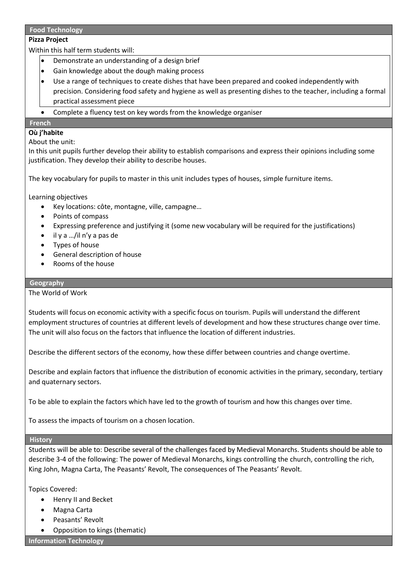## **Food Technology**

## **Pizza Project**

Within this half term students will:

- Demonstrate an understanding of a design brief
- Gain knowledge about the dough making process
- Use a range of techniques to create dishes that have been prepared and cooked independently with precision. Considering food safety and hygiene as well as presenting dishes to the teacher, including a formal practical assessment piece
- Complete a fluency test on key words from the knowledge organiser

## **French**

# **Où j'habite**

# About the unit:

In this unit pupils further develop their ability to establish comparisons and express their opinions including some justification. They develop their ability to describe houses.

The key vocabulary for pupils to master in this unit includes types of houses, simple furniture items.

Learning objectives

- Key locations: côte, montagne, ville, campagne…
- Points of compass
- Expressing preference and justifying it (some new vocabulary will be required for the justifications)
- il y a …/il n'y a pas de
- Types of house
- General description of house
- Rooms of the house

## **Geography**

The World of Work

Students will focus on economic activity with a specific focus on tourism. Pupils will understand the different employment structures of countries at different levels of development and how these structures change over time. The unit will also focus on the factors that influence the location of different industries.

Describe the different sectors of the economy, how these differ between countries and change overtime.

Describe and explain factors that influence the distribution of economic activities in the primary, secondary, tertiary and quaternary sectors.

To be able to explain the factors which have led to the growth of tourism and how this changes over time.

To assess the impacts of tourism on a chosen location.

## **History**

Students will be able to: Describe several of the challenges faced by Medieval Monarchs. Students should be able to describe 3-4 of the following: The power of Medieval Monarchs, kings controlling the church, controlling the rich, King John, Magna Carta, The Peasants' Revolt, The consequences of The Peasants' Revolt.

Topics Covered:

- Henry II and Becket
- Magna Carta
- Peasants' Revolt
- Opposition to kings (thematic)

**Information Technology**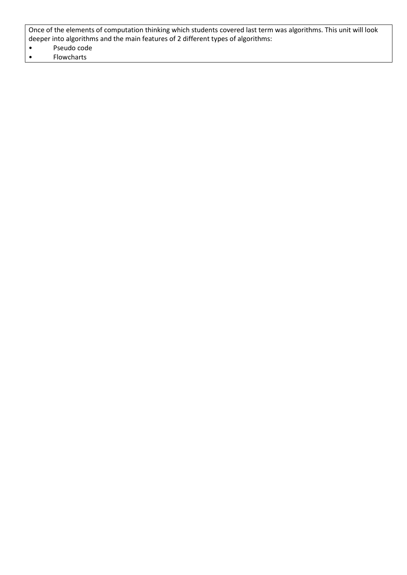Once of the elements of computation thinking which students covered last term was algorithms. This unit will look deeper into algorithms and the main features of 2 different types of algorithms:

- Pseudo code<br>• Flowcharts
- **Flowcharts**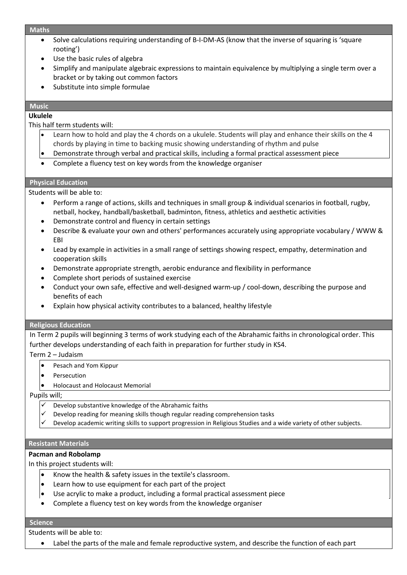#### **Maths**

- Solve calculations requiring understanding of B-I-DM-AS (know that the inverse of squaring is 'square rooting')
- Use the basic rules of algebra
- Simplify and manipulate algebraic expressions to maintain equivalence by multiplying a single term over a bracket or by taking out common factors
- Substitute into simple formulae

## **Music**

# **Ukulele**

This half term students will:

- Learn how to hold and play the 4 chords on a ukulele. Students will play and enhance their skills on the 4 chords by playing in time to backing music showing understanding of rhythm and pulse
- Demonstrate through verbal and practical skills, including a formal practical assessment piece
- Complete a fluency test on key words from the knowledge organiser

#### **Physical Education**

Students will be able to:

- Perform a range of actions, skills and techniques in small group & individual scenarios in football, rugby, netball, hockey, handball/basketball, badminton, fitness, athletics and aesthetic activities
- Demonstrate control and fluency in certain settings
- Describe & evaluate your own and others' performances accurately using appropriate vocabulary / WWW & EBI
- Lead by example in activities in a small range of settings showing respect, empathy, determination and cooperation skills
- Demonstrate appropriate strength, aerobic endurance and flexibility in performance
- Complete short periods of sustained exercise
- Conduct your own safe, effective and well-designed warm-up / cool-down, describing the purpose and benefits of each
- Explain how physical activity contributes to a balanced, healthy lifestyle

## **Religious Education**

In Term 2 pupils will beginning 3 terms of work studying each of the Abrahamic faiths in chronological order. This further develops understanding of each faith in preparation for further study in KS4.

Term 2 – Judaism

- Pesach and Yom Kippur
- **Persecution**
- Holocaust and Holocaust Memorial

Pupils will;

- Develop substantive knowledge of the Abrahamic faiths
- Develop reading for meaning skills though regular reading comprehension tasks
- Develop academic writing skills to support progression in Religious Studies and a wide variety of other subjects.

#### **Resistant Materials**

## **Pacman and Robolamp**

In this project students will:

- $\bullet$  Know the health & safety issues in the textile's classroom.
- Learn how to use equipment for each part of the project
- Use acrylic to make a product, including a formal practical assessment piece
- Complete a fluency test on key words from the knowledge organiser

#### **Science**

Students will be able to:

Label the parts of the male and female reproductive system, and describe the function of each part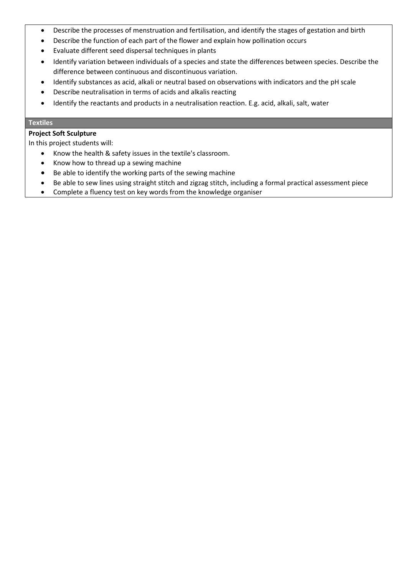- Describe the processes of menstruation and fertilisation, and identify the stages of gestation and birth
- Describe the function of each part of the flower and explain how pollination occurs
- Evaluate different seed dispersal techniques in plants
- Identify variation between individuals of a species and state the differences between species. Describe the difference between continuous and discontinuous variation.
- Identify substances as acid, alkali or neutral based on observations with indicators and the pH scale
- Describe neutralisation in terms of acids and alkalis reacting
- Identify the reactants and products in a neutralisation reaction. E.g. acid, alkali, salt, water

## **Textiles**

# **Project Soft Sculpture**

- Know the health & safety issues in the textile's classroom.
- Know how to thread up a sewing machine
- Be able to identify the working parts of the sewing machine
- Be able to sew lines using straight stitch and zigzag stitch, including a formal practical assessment piece
- Complete a fluency test on key words from the knowledge organiser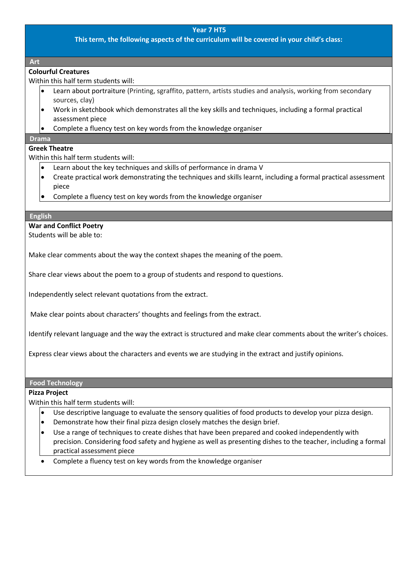## **Year 7 HT5**

**This term, the following aspects of the curriculum will be covered in your child's class:**

**Art** 

# **Colourful Creatures**

Within this half term students will:

- Learn about portraiture (Printing, sgraffito, pattern, artists studies and analysis, working from secondary sources, clay)
- Work in sketchbook which demonstrates all the key skills and techniques, including a formal practical assessment piece
- Complete a fluency test on key words from the knowledge organiser

## **Drama**

# **Greek Theatre**

Within this half term students will:

- Learn about the key techniques and skills of performance in drama V
- Create practical work demonstrating the techniques and skills learnt, including a formal practical assessment piece
- Complete a fluency test on key words from the knowledge organiser

#### **English**

**War and Conflict Poetry** 

Students will be able to:

Make clear comments about the way the context shapes the meaning of the poem.

Share clear views about the poem to a group of students and respond to questions.

Independently select relevant quotations from the extract.

Make clear points about characters' thoughts and feelings from the extract.

Identify relevant language and the way the extract is structured and make clear comments about the writer's choices.

Express clear views about the characters and events we are studying in the extract and justify opinions.

**Food Technology**

## **Pizza Project**

Within this half term students will:

- Use descriptive language to evaluate the sensory qualities of food products to develop your pizza design.
- Demonstrate how their final pizza design closely matches the design brief.
- Use a range of techniques to create dishes that have been prepared and cooked independently with precision. Considering food safety and hygiene as well as presenting dishes to the teacher, including a formal practical assessment piece
- Complete a fluency test on key words from the knowledge organiser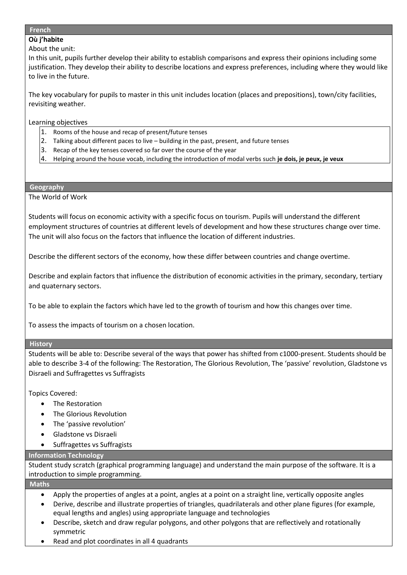#### **French**

## **Où j'habite**

About the unit:

In this unit, pupils further develop their ability to establish comparisons and express their opinions including some justification. They develop their ability to describe locations and express preferences, including where they would like to live in the future.

The key vocabulary for pupils to master in this unit includes location (places and prepositions), town/city facilities, revisiting weather.

Learning objectives

- 1. Rooms of the house and recap of present/future tenses
- 2. Talking about different paces to live building in the past, present, and future tenses
- 3. Recap of the key tenses covered so far over the course of the year
- 4. Helping around the house vocab, including the introduction of modal verbs such **je dois, je peux, je veux**

## **Geography**

The World of Work

Students will focus on economic activity with a specific focus on tourism. Pupils will understand the different employment structures of countries at different levels of development and how these structures change over time. The unit will also focus on the factors that influence the location of different industries.

Describe the different sectors of the economy, how these differ between countries and change overtime.

Describe and explain factors that influence the distribution of economic activities in the primary, secondary, tertiary and quaternary sectors.

To be able to explain the factors which have led to the growth of tourism and how this changes over time.

To assess the impacts of tourism on a chosen location.

## **History**

Students will be able to: Describe several of the ways that power has shifted from c1000-present. Students should be able to describe 3-4 of the following: The Restoration, The Glorious Revolution, The 'passive' revolution, Gladstone vs Disraeli and Suffragettes vs Suffragists

Topics Covered:

- The Restoration
- The Glorious Revolution
- The 'passive revolution'
- Gladstone vs Disraeli
- Suffragettes vs Suffragists

# **Information Technology**

Student study scratch (graphical programming language) and understand the main purpose of the software. It is a introduction to simple programming.

## **Maths**

- Apply the properties of angles at a point, angles at a point on a straight line, vertically opposite angles
- Derive, describe and illustrate properties of triangles, quadrilaterals and other plane figures (for example, equal lengths and angles) using appropriate language and technologies
- Describe, sketch and draw regular polygons, and other polygons that are reflectively and rotationally symmetric
- Read and plot coordinates in all 4 quadrants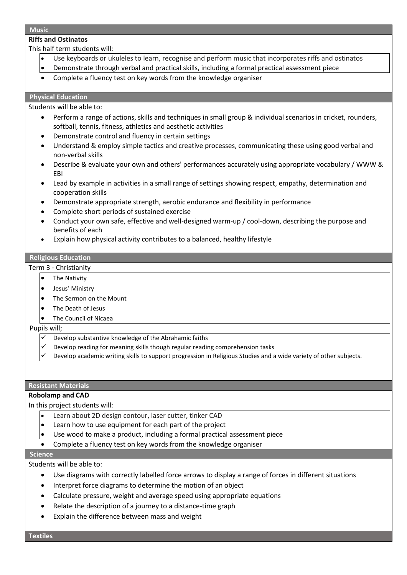#### **Music**

# **Riffs and Ostinatos**

This half term students will:

- Use keyboards or ukuleles to learn, recognise and perform music that incorporates riffs and ostinatos
- Demonstrate through verbal and practical skills, including a formal practical assessment piece
- Complete a fluency test on key words from the knowledge organiser

# **Physical Education**

Students will be able to:

- Perform a range of actions, skills and techniques in small group & individual scenarios in cricket, rounders, softball, tennis, fitness, athletics and aesthetic activities
- Demonstrate control and fluency in certain settings
- Understand & employ simple tactics and creative processes, communicating these using good verbal and non-verbal skills
- Describe & evaluate your own and others' performances accurately using appropriate vocabulary / WWW & EBI
- Lead by example in activities in a small range of settings showing respect, empathy, determination and cooperation skills
- Demonstrate appropriate strength, aerobic endurance and flexibility in performance
- Complete short periods of sustained exercise
- Conduct your own safe, effective and well-designed warm-up / cool-down, describing the purpose and benefits of each
- Explain how physical activity contributes to a balanced, healthy lifestyle

# **Religious Education**

# Term 3 - Christianity

- The Nativity
- Jesus' Ministry
- The Sermon on the Mount
- The Death of Jesus
- The Council of Nicaea

# Pupils will;

- Develop substantive knowledge of the Abrahamic faiths
- ✓ Develop reading for meaning skills though regular reading comprehension tasks
- Develop academic writing skills to support progression in Religious Studies and a wide variety of other subjects.

# **Resistant Materials**

# **Robolamp and CAD**

In this project students will:

- Learn about 2D design contour, laser cutter, tinker CAD
- $\bullet$  Learn how to use equipment for each part of the project
- Use wood to make a product, including a formal practical assessment piece
- Complete a fluency test on key words from the knowledge organiser

# **Science**

Students will be able to:

- Use diagrams with correctly labelled force arrows to display a range of forces in different situations
- Interpret force diagrams to determine the motion of an object
- Calculate pressure, weight and average speed using appropriate equations
- Relate the description of a journey to a distance-time graph
- Explain the difference between mass and weight

**Textiles**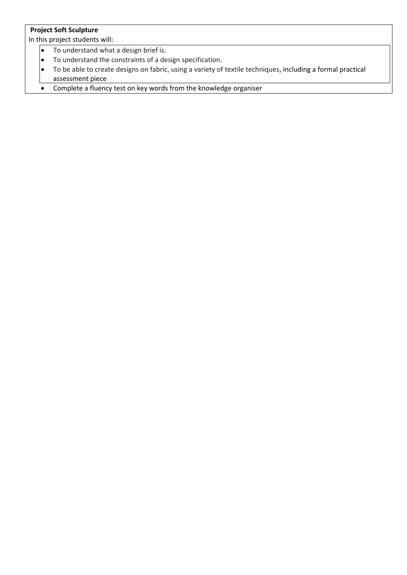# **Project Soft Sculpture**

- To understand what a design brief is.<br>• To understand the constraints of a de
- To understand the constraints of a design specification.<br>• To be able to create designs on fabric, using a variety of
- To be able to create designs on fabric, using a variety of textile techniques, including a formal practical assessment piece
- Complete a fluency test on key words from the knowledge organiser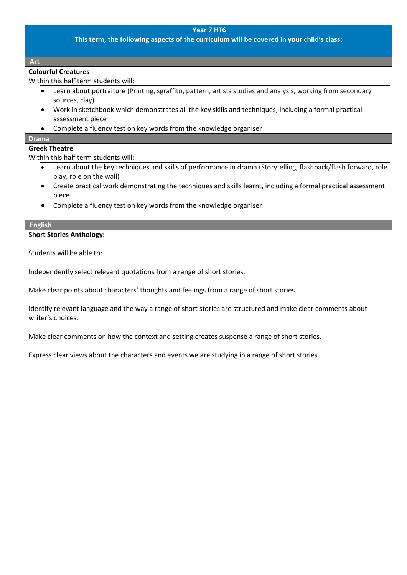## **Year 7 HT6**

**This term, the following aspects of the curriculum will be covered in your child's class:**

**Art** 

## **Colourful Creatures**

Within this half term students will:

- Learn about portraiture (Printing, sgraffito, pattern, artists studies and analysis, working from secondary sources, clay)
- Work in sketchbook which demonstrates all the key skills and techniques, including a formal practical assessment piece
- Complete a fluency test on key words from the knowledge organiser

## **Drama**

# **Greek Theatre**

Within this half term students will:

- Learn about the key techniques and skills of performance in drama (Storytelling, flashback/flash forward, role play, role on the wall)
- Create practical work demonstrating the techniques and skills learnt, including a formal practical assessment piece
- Complete a fluency test on key words from the knowledge organiser

## **English**

## **Short Stories Anthology:**

Students will be able to:

Independently select relevant quotations from a range of short stories.

Make clear points about characters' thoughts and feelings from a range of short stories.

Identify relevant language and the way a range of short stories are structured and make clear comments about writer's choices.

Make clear comments on how the context and setting creates suspense a range of short stories.

Express clear views about the characters and events we are studying in a range of short stories.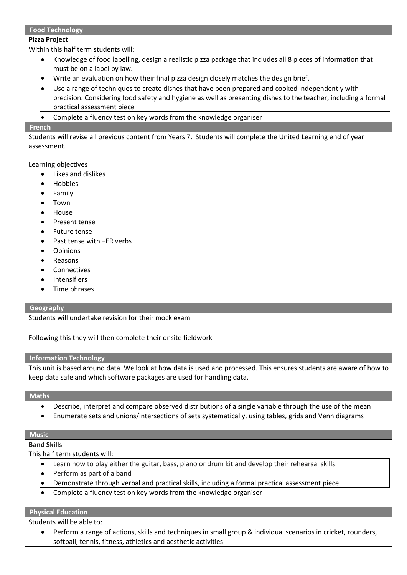## **Food Technology**

## **Pizza Project**

Within this half term students will:

- Knowledge of food labelling, design a realistic pizza package that includes all 8 pieces of information that must be on a label by law.
- Write an evaluation on how their final pizza design closely matches the design brief.
- Use a range of techniques to create dishes that have been prepared and cooked independently with precision. Considering food safety and hygiene as well as presenting dishes to the teacher, including a formal practical assessment piece
- Complete a fluency test on key words from the knowledge organiser

#### **French**

Students will revise all previous content from Years 7. Students will complete the United Learning end of year assessment.

## Learning objectives

- Likes and dislikes
- **Hobbies**
- Family
- Town
- House
- Present tense
- Future tense
- Past tense with -ER verbs
- Opinions
- Reasons
- **Connectives**
- **Intensifiers**
- Time phrases

## **Geography**

Students will undertake revision for their mock exam

Following this they will then complete their onsite fieldwork

## **Information Technology**

This unit is based around data. We look at how data is used and processed. This ensures students are aware of how to keep data safe and which software packages are used for handling data.

#### **Maths**

- Describe, interpret and compare observed distributions of a single variable through the use of the mean
- Enumerate sets and unions/intersections of sets systematically, using tables, grids and Venn diagrams

## **Music**

## **Band Skills**

This half term students will:

- Learn how to play either the guitar, bass, piano or drum kit and develop their rehearsal skills.
- Perform as part of a band
- Demonstrate through verbal and practical skills, including a formal practical assessment piece
- Complete a fluency test on key words from the knowledge organiser

# **Physical Education**

Students will be able to:

• Perform a range of actions, skills and techniques in small group & individual scenarios in cricket, rounders, softball, tennis, fitness, athletics and aesthetic activities